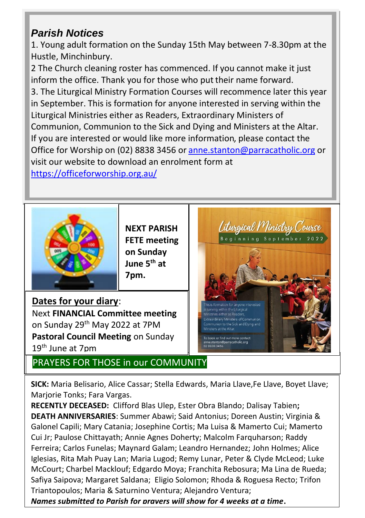# *Parish Notices*

1. Young adult formation on the Sunday 15th May between 7-8.30pm at the Hustle, Minchinbury.

2 The Church cleaning roster has commenced. If you cannot make it just inform the office. Thank you for those who put their name forward.

3. The Liturgical Ministry Formation Courses will recommence later this year in September. This is formation for anyone interested in serving within the Liturgical Ministries either as Readers, Extraordinary Ministers of Communion, Communion to the Sick and Dying and Ministers at the Altar. If you are interested or would like more information, please contact the Office for Worship on (02) 8838 3456 o[r anne.stanton@parracatholic.org](anne.stanton@parracatholic.org%20) or visit our website to download an enrolment form at <https://officeforworship.org.au/>



**NEXT PARISH FETE meeting on Sunday June 5th at 7pm.** 

**Dates for your diary**: Next **FINANCIAL Committee meeting** on Sunday 29th May 2022 at 7PM **Pastoral Council Meeting** on Sunday 19th June at 7pm

PRAYERS FOR THOSE in our COMMUNITY



**SICK:** Maria Belisario, Alice Cassar; Stella Edwards, Maria Llave,Fe Llave, Boyet Llave; Marjorie Tonks; Fara Vargas.

**RECENTLY DECEASED:** Clifford Blas Ulep, Ester Obra Blando; Dalisay Tabien**; DEATH ANNIVERSARIES**: Summer Abawi; Said Antonius; Doreen Austin; Virginia & Galonel Capili; Mary Catania; Josephine Cortis; Ma Luisa & Mamerto Cui; Mamerto Cui Jr; Paulose Chittayath; Annie Agnes Doherty; Malcolm Farquharson; Raddy Ferreira; Carlos Funelas; Maynard Galam; Leandro Hernandez; John Holmes; Alice Iglesias, Rita Mah Puay Lan; Maria Lugod; Remy Lunar, Peter & Clyde McLeod; Luke McCourt; Charbel Macklouf; Edgardo Moya; Franchita Rebosura; Ma Lina de Rueda; Safiya Saipova; Margaret Saldana; Eligio Solomon; Rhoda & Roguesa Recto; Trifon Triantopoulos; Maria & Saturnino Ventura; Alejandro Ventura;

*Names submitted to Parish for prayers will show for 4 weeks at a time***.**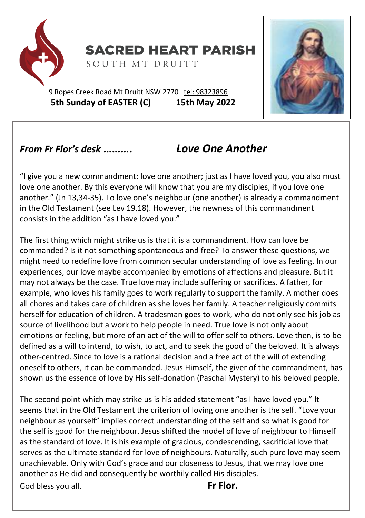

**SACRED HEART PARISH** 

SOUTH MT DRUITT

9 Ropes Creek Road Mt Druitt NSW 2770 tel: [98323896](tel:98323896) **5th Sunday of EASTER (C) 15th May 2022**



# *From Fr Flor's desk ………. Love One Another*

"I give you a new commandment: love one another; just as I have loved you, you also must love one another. By this everyone will know that you are my disciples, if you love one another." (Jn 13,34-35). To love one's neighbour (one another) is already a commandment in the Old Testament (see Lev 19,18). However, the newness of this commandment consists in the addition "as I have loved you."

The first thing which might strike us is that it is a commandment. How can love be commanded? Is it not something spontaneous and free? To answer these questions, we might need to redefine love from common secular understanding of love as feeling. In our experiences, our love maybe accompanied by emotions of affections and pleasure. But it may not always be the case. True love may include suffering or sacrifices. A father, for example, who loves his family goes to work regularly to support the family. A mother does all chores and takes care of children as she loves her family. A teacher religiously commits herself for education of children. A tradesman goes to work, who do not only see his job as source of livelihood but a work to help people in need. True love is not only about emotions or feeling, but more of an act of the will to offer self to others. Love then, is to be defined as a will to intend, to wish, to act, and to seek the good of the beloved. It is always other-centred. Since to love is a rational decision and a free act of the will of extending oneself to others, it can be commanded. Jesus Himself, the giver of the commandment, has shown us the essence of love by His self-donation (Paschal Mystery) to his beloved people.

The second point which may strike us is his added statement "as I have loved you." It seems that in the Old Testament the criterion of loving one another is the self. "Love your neighbour as yourself" implies correct understanding of the self and so what is good for the self is good for the neighbour. Jesus shifted the model of love of neighbour to Himself as the standard of love. It is his example of gracious, condescending, sacrificial love that serves as the ultimate standard for love of neighbours. Naturally, such pure love may seem unachievable. Only with God's grace and our closeness to Jesus, that we may love one another as He did and consequently be worthily called His disciples. God bless you all. **Fr Flor.**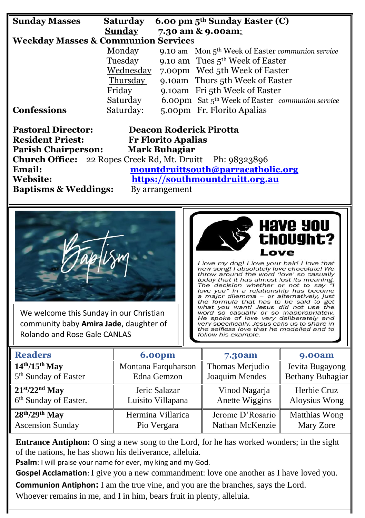| <b>Sunday Masses</b><br><b>Saturday</b><br>6.00 pm 5 <sup>th</sup> Sunday Easter (C)<br><b>Sunday</b><br>7.30 am & 9.00am:<br><b>Weekday Masses &amp; Communion Services</b><br>Monday<br>9.10 am Mon 5 <sup>th</sup> Week of Easter communion service<br>Tuesday<br>9.10 am Tues 5 <sup>th</sup> Week of Easter<br>Wednesday<br>7.00pm Wed 5th Week of Easter<br>Thursday<br>9.10am Thurs 5th Week of Easter<br>Friday<br>9.10am Fri 5th Week of Easter<br>Saturday<br>6.00pm Sat 5 <sup>th</sup> Week of Easter communion service<br><b>Confessions</b><br>Saturday:<br>5.00pm Fr. Florito Apalias<br><b>Pastoral Director:</b><br><b>Deacon Roderick Pirotta</b><br><b>Resident Priest:</b><br><b>Fr Florito Apalias</b><br><b>Parish Chairperson:</b><br><b>Mark Buhagiar</b><br><b>Church Office:</b> 22 Ropes Creek Rd, Mt. Druitt<br>Ph: 98323896<br>mountdruittsouth@parracatholic.org<br>Email:<br><b>Website:</b><br>https://southmountdruitt.org.au<br><b>Baptisms &amp; Weddings:</b><br>By arrangement<br><b>Have You<br/>thought?</b><br>Love<br>I love my dog! I love your hair! I love that<br>new song! I absolutely love chocolate! We<br>throw around the word 'love' so casually<br>today that it has almost lost its meaning.<br>The decision whether or not to say "I<br>love you" in a relationship has become<br>a major dilemma - or alternatively, just<br>the formula that has to be said to get<br>what you want! Jesus did not use the<br>We welcome this Sunday in our Christian<br>word so casually or so inappropriately.<br>He spoke of love very deliberately and<br>community baby Amira Jade, daughter of<br>very specifically. Jesus calls us to share in<br>the selfless love that he modelled and to<br><b>Rolando and Rose Gale CANLAS</b><br>follow his example.<br><b>Readers</b><br><b>6.00pm</b><br><b>9.00am</b><br>7.30am<br>$14th/15th$ May<br>Montana Farquharson<br>Thomas Merjudio<br>Jevita Bugayong<br>5 <sup>th</sup> Sunday of Easter<br>Edna Gemzon<br>Joaquim Mendes<br>Bethany Buhagiar<br>$21st/22nd$ May<br>Jeric Salazar<br>Herbie Cruz<br>Vinod Nagarja<br>6 <sup>th</sup> Sunday of Easter.<br>Luisito Villapana<br>Anette Wiggins<br>Aloysius Wong<br>$28th/29th$ May<br>Hermina Villarica<br><b>Matthias Wong</b><br>Jerome D'Rosario |  |  |  |  |  |  |
|-------------------------------------------------------------------------------------------------------------------------------------------------------------------------------------------------------------------------------------------------------------------------------------------------------------------------------------------------------------------------------------------------------------------------------------------------------------------------------------------------------------------------------------------------------------------------------------------------------------------------------------------------------------------------------------------------------------------------------------------------------------------------------------------------------------------------------------------------------------------------------------------------------------------------------------------------------------------------------------------------------------------------------------------------------------------------------------------------------------------------------------------------------------------------------------------------------------------------------------------------------------------------------------------------------------------------------------------------------------------------------------------------------------------------------------------------------------------------------------------------------------------------------------------------------------------------------------------------------------------------------------------------------------------------------------------------------------------------------------------------------------------------------------------------------------------------------------------------------------------------------------------------------------------------------------------------------------------------------------------------------------------------------------------------------------------------------------------------------------------------------------------------------------------------------------------------------------------------------------------------------------------------------------------------------|--|--|--|--|--|--|
|                                                                                                                                                                                                                                                                                                                                                                                                                                                                                                                                                                                                                                                                                                                                                                                                                                                                                                                                                                                                                                                                                                                                                                                                                                                                                                                                                                                                                                                                                                                                                                                                                                                                                                                                                                                                                                                                                                                                                                                                                                                                                                                                                                                                                                                                                                       |  |  |  |  |  |  |
|                                                                                                                                                                                                                                                                                                                                                                                                                                                                                                                                                                                                                                                                                                                                                                                                                                                                                                                                                                                                                                                                                                                                                                                                                                                                                                                                                                                                                                                                                                                                                                                                                                                                                                                                                                                                                                                                                                                                                                                                                                                                                                                                                                                                                                                                                                       |  |  |  |  |  |  |
|                                                                                                                                                                                                                                                                                                                                                                                                                                                                                                                                                                                                                                                                                                                                                                                                                                                                                                                                                                                                                                                                                                                                                                                                                                                                                                                                                                                                                                                                                                                                                                                                                                                                                                                                                                                                                                                                                                                                                                                                                                                                                                                                                                                                                                                                                                       |  |  |  |  |  |  |
|                                                                                                                                                                                                                                                                                                                                                                                                                                                                                                                                                                                                                                                                                                                                                                                                                                                                                                                                                                                                                                                                                                                                                                                                                                                                                                                                                                                                                                                                                                                                                                                                                                                                                                                                                                                                                                                                                                                                                                                                                                                                                                                                                                                                                                                                                                       |  |  |  |  |  |  |
|                                                                                                                                                                                                                                                                                                                                                                                                                                                                                                                                                                                                                                                                                                                                                                                                                                                                                                                                                                                                                                                                                                                                                                                                                                                                                                                                                                                                                                                                                                                                                                                                                                                                                                                                                                                                                                                                                                                                                                                                                                                                                                                                                                                                                                                                                                       |  |  |  |  |  |  |
|                                                                                                                                                                                                                                                                                                                                                                                                                                                                                                                                                                                                                                                                                                                                                                                                                                                                                                                                                                                                                                                                                                                                                                                                                                                                                                                                                                                                                                                                                                                                                                                                                                                                                                                                                                                                                                                                                                                                                                                                                                                                                                                                                                                                                                                                                                       |  |  |  |  |  |  |
|                                                                                                                                                                                                                                                                                                                                                                                                                                                                                                                                                                                                                                                                                                                                                                                                                                                                                                                                                                                                                                                                                                                                                                                                                                                                                                                                                                                                                                                                                                                                                                                                                                                                                                                                                                                                                                                                                                                                                                                                                                                                                                                                                                                                                                                                                                       |  |  |  |  |  |  |
|                                                                                                                                                                                                                                                                                                                                                                                                                                                                                                                                                                                                                                                                                                                                                                                                                                                                                                                                                                                                                                                                                                                                                                                                                                                                                                                                                                                                                                                                                                                                                                                                                                                                                                                                                                                                                                                                                                                                                                                                                                                                                                                                                                                                                                                                                                       |  |  |  |  |  |  |
|                                                                                                                                                                                                                                                                                                                                                                                                                                                                                                                                                                                                                                                                                                                                                                                                                                                                                                                                                                                                                                                                                                                                                                                                                                                                                                                                                                                                                                                                                                                                                                                                                                                                                                                                                                                                                                                                                                                                                                                                                                                                                                                                                                                                                                                                                                       |  |  |  |  |  |  |
|                                                                                                                                                                                                                                                                                                                                                                                                                                                                                                                                                                                                                                                                                                                                                                                                                                                                                                                                                                                                                                                                                                                                                                                                                                                                                                                                                                                                                                                                                                                                                                                                                                                                                                                                                                                                                                                                                                                                                                                                                                                                                                                                                                                                                                                                                                       |  |  |  |  |  |  |
|                                                                                                                                                                                                                                                                                                                                                                                                                                                                                                                                                                                                                                                                                                                                                                                                                                                                                                                                                                                                                                                                                                                                                                                                                                                                                                                                                                                                                                                                                                                                                                                                                                                                                                                                                                                                                                                                                                                                                                                                                                                                                                                                                                                                                                                                                                       |  |  |  |  |  |  |
|                                                                                                                                                                                                                                                                                                                                                                                                                                                                                                                                                                                                                                                                                                                                                                                                                                                                                                                                                                                                                                                                                                                                                                                                                                                                                                                                                                                                                                                                                                                                                                                                                                                                                                                                                                                                                                                                                                                                                                                                                                                                                                                                                                                                                                                                                                       |  |  |  |  |  |  |
|                                                                                                                                                                                                                                                                                                                                                                                                                                                                                                                                                                                                                                                                                                                                                                                                                                                                                                                                                                                                                                                                                                                                                                                                                                                                                                                                                                                                                                                                                                                                                                                                                                                                                                                                                                                                                                                                                                                                                                                                                                                                                                                                                                                                                                                                                                       |  |  |  |  |  |  |
|                                                                                                                                                                                                                                                                                                                                                                                                                                                                                                                                                                                                                                                                                                                                                                                                                                                                                                                                                                                                                                                                                                                                                                                                                                                                                                                                                                                                                                                                                                                                                                                                                                                                                                                                                                                                                                                                                                                                                                                                                                                                                                                                                                                                                                                                                                       |  |  |  |  |  |  |
|                                                                                                                                                                                                                                                                                                                                                                                                                                                                                                                                                                                                                                                                                                                                                                                                                                                                                                                                                                                                                                                                                                                                                                                                                                                                                                                                                                                                                                                                                                                                                                                                                                                                                                                                                                                                                                                                                                                                                                                                                                                                                                                                                                                                                                                                                                       |  |  |  |  |  |  |
|                                                                                                                                                                                                                                                                                                                                                                                                                                                                                                                                                                                                                                                                                                                                                                                                                                                                                                                                                                                                                                                                                                                                                                                                                                                                                                                                                                                                                                                                                                                                                                                                                                                                                                                                                                                                                                                                                                                                                                                                                                                                                                                                                                                                                                                                                                       |  |  |  |  |  |  |
|                                                                                                                                                                                                                                                                                                                                                                                                                                                                                                                                                                                                                                                                                                                                                                                                                                                                                                                                                                                                                                                                                                                                                                                                                                                                                                                                                                                                                                                                                                                                                                                                                                                                                                                                                                                                                                                                                                                                                                                                                                                                                                                                                                                                                                                                                                       |  |  |  |  |  |  |
|                                                                                                                                                                                                                                                                                                                                                                                                                                                                                                                                                                                                                                                                                                                                                                                                                                                                                                                                                                                                                                                                                                                                                                                                                                                                                                                                                                                                                                                                                                                                                                                                                                                                                                                                                                                                                                                                                                                                                                                                                                                                                                                                                                                                                                                                                                       |  |  |  |  |  |  |
|                                                                                                                                                                                                                                                                                                                                                                                                                                                                                                                                                                                                                                                                                                                                                                                                                                                                                                                                                                                                                                                                                                                                                                                                                                                                                                                                                                                                                                                                                                                                                                                                                                                                                                                                                                                                                                                                                                                                                                                                                                                                                                                                                                                                                                                                                                       |  |  |  |  |  |  |
|                                                                                                                                                                                                                                                                                                                                                                                                                                                                                                                                                                                                                                                                                                                                                                                                                                                                                                                                                                                                                                                                                                                                                                                                                                                                                                                                                                                                                                                                                                                                                                                                                                                                                                                                                                                                                                                                                                                                                                                                                                                                                                                                                                                                                                                                                                       |  |  |  |  |  |  |
|                                                                                                                                                                                                                                                                                                                                                                                                                                                                                                                                                                                                                                                                                                                                                                                                                                                                                                                                                                                                                                                                                                                                                                                                                                                                                                                                                                                                                                                                                                                                                                                                                                                                                                                                                                                                                                                                                                                                                                                                                                                                                                                                                                                                                                                                                                       |  |  |  |  |  |  |
|                                                                                                                                                                                                                                                                                                                                                                                                                                                                                                                                                                                                                                                                                                                                                                                                                                                                                                                                                                                                                                                                                                                                                                                                                                                                                                                                                                                                                                                                                                                                                                                                                                                                                                                                                                                                                                                                                                                                                                                                                                                                                                                                                                                                                                                                                                       |  |  |  |  |  |  |
|                                                                                                                                                                                                                                                                                                                                                                                                                                                                                                                                                                                                                                                                                                                                                                                                                                                                                                                                                                                                                                                                                                                                                                                                                                                                                                                                                                                                                                                                                                                                                                                                                                                                                                                                                                                                                                                                                                                                                                                                                                                                                                                                                                                                                                                                                                       |  |  |  |  |  |  |
|                                                                                                                                                                                                                                                                                                                                                                                                                                                                                                                                                                                                                                                                                                                                                                                                                                                                                                                                                                                                                                                                                                                                                                                                                                                                                                                                                                                                                                                                                                                                                                                                                                                                                                                                                                                                                                                                                                                                                                                                                                                                                                                                                                                                                                                                                                       |  |  |  |  |  |  |
|                                                                                                                                                                                                                                                                                                                                                                                                                                                                                                                                                                                                                                                                                                                                                                                                                                                                                                                                                                                                                                                                                                                                                                                                                                                                                                                                                                                                                                                                                                                                                                                                                                                                                                                                                                                                                                                                                                                                                                                                                                                                                                                                                                                                                                                                                                       |  |  |  |  |  |  |

**Entrance Antiphon:** O sing a new song to the Lord, for he has worked wonders; in the sight of the nations, he has shown his deliverance, alleluia.

Nathan McKenzie

Mary Zore

**Psalm**: I will praise your name for ever, my king and my God.

Ascension Sunday

**Gospel Acclamation**: I give you a new commandment: love one another as I have loved you.

**Communion Antiphon:** I am the true vine, and you are the branches, says the Lord.

Pio Vergara

Whoever remains in me, and I in him, bears fruit in plenty, alleluia.